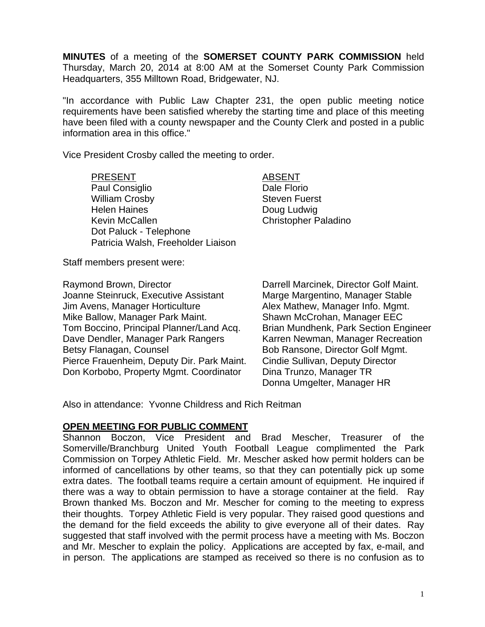**MINUTES** of a meeting of the **SOMERSET COUNTY PARK COMMISSION** held Thursday, March 20, 2014 at 8:00 AM at the Somerset County Park Commission Headquarters, 355 Milltown Road, Bridgewater, NJ.

"In accordance with Public Law Chapter 231, the open public meeting notice requirements have been satisfied whereby the starting time and place of this meeting have been filed with a county newspaper and the County Clerk and posted in a public information area in this office."

Vice President Crosby called the meeting to order.

PRESENT ABSENT Paul Consiglio **Dale Florio** Dale Florio William Crosby **Steven Fuerst** Steven Fuerst Helen Haines **Doug Ludwig** Kevin McCallen Christopher Paladino Dot Paluck - Telephone Patricia Walsh, Freeholder Liaison

Staff members present were:

Joanne Steinruck, Executive Assistant Marge Margentino, Manager Stable Jim Avens, Manager Horticulture **Alex Mathew, Manager Info. Mgmt.** Mike Ballow, Manager Park Maint. Shawn McCrohan, Manager EEC Tom Boccino, Principal Planner/Land Acq. Brian Mundhenk, Park Section Engineer Dave Dendler, Manager Park Rangers Karren Newman, Manager Recreation Betsy Flanagan, Counsel Bob Ransone, Director Golf Mgmt. Pierce Frauenheim, Deputy Dir. Park Maint. Cindie Sullivan, Deputy Director Don Korbobo, Property Mgmt. Coordinator Dina Trunzo, Manager TR

Raymond Brown, Director **National Example 2** Darrell Marcinek, Director Golf Maint. Donna Umgelter, Manager HR

Also in attendance: Yvonne Childress and Rich Reitman

### **OPEN MEETING FOR PUBLIC COMMENT**

Shannon Boczon, Vice President and Brad Mescher, Treasurer of the Somerville/Branchburg United Youth Football League complimented the Park Commission on Torpey Athletic Field. Mr. Mescher asked how permit holders can be informed of cancellations by other teams, so that they can potentially pick up some extra dates. The football teams require a certain amount of equipment. He inquired if there was a way to obtain permission to have a storage container at the field. Ray Brown thanked Ms. Boczon and Mr. Mescher for coming to the meeting to express their thoughts. Torpey Athletic Field is very popular. They raised good questions and the demand for the field exceeds the ability to give everyone all of their dates. Ray suggested that staff involved with the permit process have a meeting with Ms. Boczon and Mr. Mescher to explain the policy. Applications are accepted by fax, e-mail, and in person. The applications are stamped as received so there is no confusion as to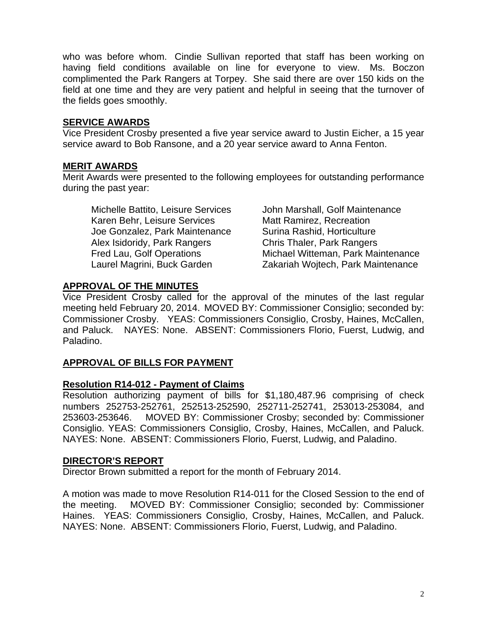who was before whom. Cindie Sullivan reported that staff has been working on having field conditions available on line for everyone to view. Ms. Boczon complimented the Park Rangers at Torpey. She said there are over 150 kids on the field at one time and they are very patient and helpful in seeing that the turnover of the fields goes smoothly.

### **SERVICE AWARDS**

Vice President Crosby presented a five year service award to Justin Eicher, a 15 year service award to Bob Ransone, and a 20 year service award to Anna Fenton.

## **MERIT AWARDS**

Merit Awards were presented to the following employees for outstanding performance during the past year:

Michelle Battito, Leisure Services John Marshall, Golf Maintenance Karen Behr, Leisure Services Matt Ramirez, Recreation Joe Gonzalez, Park Maintenance Surina Rashid, Horticulture Alex Isidoridy, Park Rangers Chris Thaler, Park Rangers

 Fred Lau, Golf Operations Michael Witteman, Park Maintenance Laurel Magrini, Buck Garden Zakariah Wojtech, Park Maintenance

## **APPROVAL OF THE MINUTES**

Vice President Crosby called for the approval of the minutes of the last regular meeting held February 20, 2014. MOVED BY: Commissioner Consiglio; seconded by: Commissioner Crosby. YEAS: Commissioners Consiglio, Crosby, Haines, McCallen, and Paluck. NAYES: None. ABSENT: Commissioners Florio, Fuerst, Ludwig, and Paladino.

# **APPROVAL OF BILLS FOR PAYMENT**

## **Resolution R14-012 - Payment of Claims**

Resolution authorizing payment of bills for \$1,180,487.96 comprising of check numbers 252753-252761, 252513-252590, 252711-252741, 253013-253084, and 253603-253646. MOVED BY: Commissioner Crosby; seconded by: Commissioner Consiglio. YEAS: Commissioners Consiglio, Crosby, Haines, McCallen, and Paluck. NAYES: None. ABSENT: Commissioners Florio, Fuerst, Ludwig, and Paladino.

### **DIRECTOR'S REPORT**

Director Brown submitted a report for the month of February 2014.

A motion was made to move Resolution R14-011 for the Closed Session to the end of the meeting. MOVED BY: Commissioner Consiglio; seconded by: Commissioner Haines. YEAS: Commissioners Consiglio, Crosby, Haines, McCallen, and Paluck. NAYES: None. ABSENT: Commissioners Florio, Fuerst, Ludwig, and Paladino.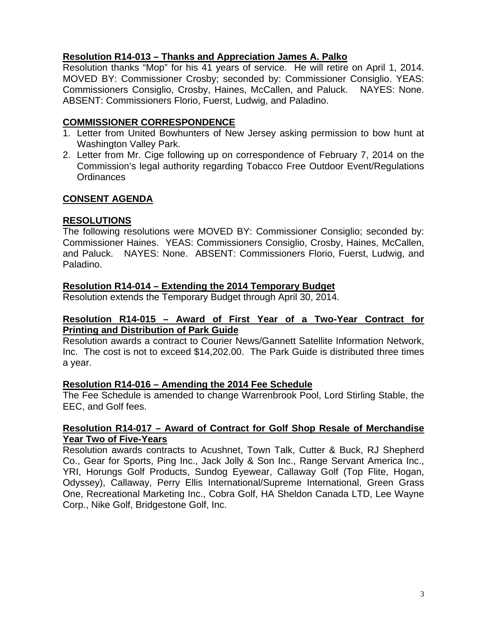### **Resolution R14-013 – Thanks and Appreciation James A. Palko**

Resolution thanks "Mop" for his 41 years of service. He will retire on April 1, 2014. MOVED BY: Commissioner Crosby; seconded by: Commissioner Consiglio. YEAS: Commissioners Consiglio, Crosby, Haines, McCallen, and Paluck. NAYES: None. ABSENT: Commissioners Florio, Fuerst, Ludwig, and Paladino.

#### **COMMISSIONER CORRESPONDENCE**

- 1. Letter from United Bowhunters of New Jersey asking permission to bow hunt at Washington Valley Park.
- 2. Letter from Mr. Cige following up on correspondence of February 7, 2014 on the Commission's legal authority regarding Tobacco Free Outdoor Event/Regulations **Ordinances**

### **CONSENT AGENDA**

### **RESOLUTIONS**

The following resolutions were MOVED BY: Commissioner Consiglio; seconded by: Commissioner Haines. YEAS: Commissioners Consiglio, Crosby, Haines, McCallen, and Paluck. NAYES: None. ABSENT: Commissioners Florio, Fuerst, Ludwig, and Paladino.

### **Resolution R14-014 – Extending the 2014 Temporary Budget**

Resolution extends the Temporary Budget through April 30, 2014.

#### **Resolution R14-015 – Award of First Year of a Two-Year Contract for Printing and Distribution of Park Guide**

Resolution awards a contract to Courier News/Gannett Satellite Information Network, Inc. The cost is not to exceed \$14,202.00. The Park Guide is distributed three times a year.

### **Resolution R14-016 – Amending the 2014 Fee Schedule**

The Fee Schedule is amended to change Warrenbrook Pool, Lord Stirling Stable, the EEC, and Golf fees.

#### **Resolution R14-017 – Award of Contract for Golf Shop Resale of Merchandise Year Two of Five-Years**

Resolution awards contracts to Acushnet, Town Talk, Cutter & Buck, RJ Shepherd Co., Gear for Sports, Ping Inc., Jack Jolly & Son Inc., Range Servant America Inc., YRI, Horungs Golf Products, Sundog Eyewear, Callaway Golf (Top Flite, Hogan, Odyssey), Callaway, Perry Ellis International/Supreme International, Green Grass One, Recreational Marketing Inc., Cobra Golf, HA Sheldon Canada LTD, Lee Wayne Corp., Nike Golf, Bridgestone Golf, Inc.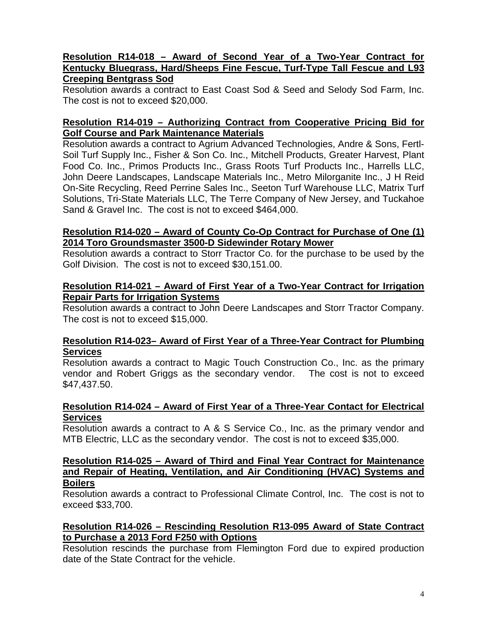### **Resolution R14-018 – Award of Second Year of a Two-Year Contract for Kentucky Bluegrass, Hard/Sheeps Fine Fescue, Turf-Type Tall Fescue and L93 Creeping Bentgrass Sod**

Resolution awards a contract to East Coast Sod & Seed and Selody Sod Farm, Inc. The cost is not to exceed \$20,000.

### **Resolution R14-019 – Authorizing Contract from Cooperative Pricing Bid for Golf Course and Park Maintenance Materials**

Resolution awards a contract to Agrium Advanced Technologies, Andre & Sons, Fertl-Soil Turf Supply Inc., Fisher & Son Co. Inc., Mitchell Products, Greater Harvest, Plant Food Co. Inc., Primos Products Inc., Grass Roots Turf Products Inc., Harrells LLC, John Deere Landscapes, Landscape Materials Inc., Metro Milorganite Inc., J H Reid On-Site Recycling, Reed Perrine Sales Inc., Seeton Turf Warehouse LLC, Matrix Turf Solutions, Tri-State Materials LLC, The Terre Company of New Jersey, and Tuckahoe Sand & Gravel Inc. The cost is not to exceed \$464,000.

### **Resolution R14-020 – Award of County Co-Op Contract for Purchase of One (1) 2014 Toro Groundsmaster 3500-D Sidewinder Rotary Mower**

Resolution awards a contract to Storr Tractor Co. for the purchase to be used by the Golf Division. The cost is not to exceed \$30,151.00.

### **Resolution R14-021 – Award of First Year of a Two-Year Contract for Irrigation Repair Parts for Irrigation Systems**

Resolution awards a contract to John Deere Landscapes and Storr Tractor Company. The cost is not to exceed \$15,000.

### **Resolution R14-023– Award of First Year of a Three-Year Contract for Plumbing Services**

Resolution awards a contract to Magic Touch Construction Co., Inc. as the primary vendor and Robert Griggs as the secondary vendor. The cost is not to exceed \$47,437.50.

### **Resolution R14-024 – Award of First Year of a Three-Year Contact for Electrical Services**

Resolution awards a contract to A & S Service Co., Inc. as the primary vendor and MTB Electric, LLC as the secondary vendor. The cost is not to exceed \$35,000.

### **Resolution R14-025 – Award of Third and Final Year Contract for Maintenance and Repair of Heating, Ventilation, and Air Conditioning (HVAC) Systems and Boilers**

Resolution awards a contract to Professional Climate Control, Inc. The cost is not to exceed \$33,700.

## **Resolution R14-026 – Rescinding Resolution R13-095 Award of State Contract to Purchase a 2013 Ford F250 with Options**

Resolution rescinds the purchase from Flemington Ford due to expired production date of the State Contract for the vehicle.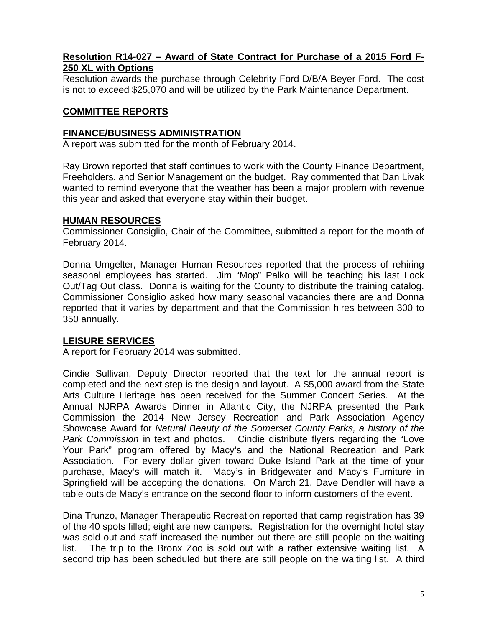### **Resolution R14-027 – Award of State Contract for Purchase of a 2015 Ford F-250 XL with Options**

Resolution awards the purchase through Celebrity Ford D/B/A Beyer Ford. The cost is not to exceed \$25,070 and will be utilized by the Park Maintenance Department.

## **COMMITTEE REPORTS**

#### **FINANCE/BUSINESS ADMINISTRATION**

A report was submitted for the month of February 2014.

Ray Brown reported that staff continues to work with the County Finance Department, Freeholders, and Senior Management on the budget. Ray commented that Dan Livak wanted to remind everyone that the weather has been a major problem with revenue this year and asked that everyone stay within their budget.

#### **HUMAN RESOURCES**

Commissioner Consiglio, Chair of the Committee, submitted a report for the month of February 2014.

Donna Umgelter, Manager Human Resources reported that the process of rehiring seasonal employees has started. Jim "Mop" Palko will be teaching his last Lock Out/Tag Out class. Donna is waiting for the County to distribute the training catalog. Commissioner Consiglio asked how many seasonal vacancies there are and Donna reported that it varies by department and that the Commission hires between 300 to 350 annually.

### **LEISURE SERVICES**

A report for February 2014 was submitted.

Cindie Sullivan, Deputy Director reported that the text for the annual report is completed and the next step is the design and layout. A \$5,000 award from the State Arts Culture Heritage has been received for the Summer Concert Series. At the Annual NJRPA Awards Dinner in Atlantic City, the NJRPA presented the Park Commission the 2014 New Jersey Recreation and Park Association Agency Showcase Award for *Natural Beauty of the Somerset County Parks, a history of the Park Commission* in text and photos. Cindie distribute flyers regarding the "Love Your Park" program offered by Macy's and the National Recreation and Park Association. For every dollar given toward Duke Island Park at the time of your purchase, Macy's will match it. Macy's in Bridgewater and Macy's Furniture in Springfield will be accepting the donations. On March 21, Dave Dendler will have a table outside Macy's entrance on the second floor to inform customers of the event.

Dina Trunzo, Manager Therapeutic Recreation reported that camp registration has 39 of the 40 spots filled; eight are new campers. Registration for the overnight hotel stay was sold out and staff increased the number but there are still people on the waiting list. The trip to the Bronx Zoo is sold out with a rather extensive waiting list. A second trip has been scheduled but there are still people on the waiting list. A third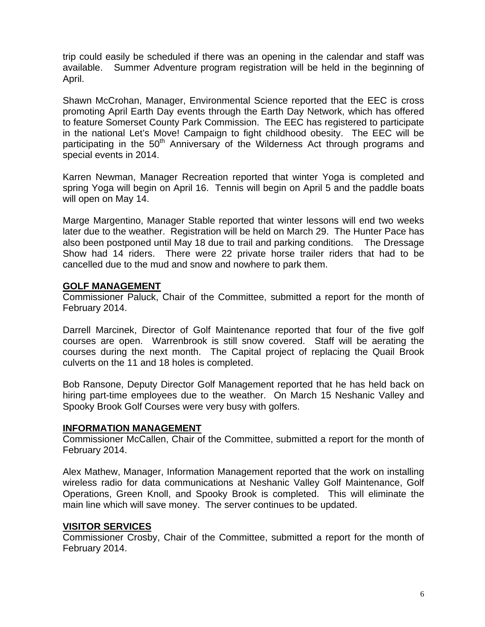trip could easily be scheduled if there was an opening in the calendar and staff was available. Summer Adventure program registration will be held in the beginning of April.

Shawn McCrohan, Manager, Environmental Science reported that the EEC is cross promoting April Earth Day events through the Earth Day Network, which has offered to feature Somerset County Park Commission. The EEC has registered to participate in the national Let's Move! Campaign to fight childhood obesity. The EEC will be participating in the  $50<sup>th</sup>$  Anniversary of the Wilderness Act through programs and special events in 2014.

Karren Newman, Manager Recreation reported that winter Yoga is completed and spring Yoga will begin on April 16. Tennis will begin on April 5 and the paddle boats will open on May 14.

Marge Margentino, Manager Stable reported that winter lessons will end two weeks later due to the weather. Registration will be held on March 29. The Hunter Pace has also been postponed until May 18 due to trail and parking conditions. The Dressage Show had 14 riders. There were 22 private horse trailer riders that had to be cancelled due to the mud and snow and nowhere to park them.

#### **GOLF MANAGEMENT**

Commissioner Paluck, Chair of the Committee, submitted a report for the month of February 2014.

Darrell Marcinek, Director of Golf Maintenance reported that four of the five golf courses are open. Warrenbrook is still snow covered. Staff will be aerating the courses during the next month. The Capital project of replacing the Quail Brook culverts on the 11 and 18 holes is completed.

Bob Ransone, Deputy Director Golf Management reported that he has held back on hiring part-time employees due to the weather. On March 15 Neshanic Valley and Spooky Brook Golf Courses were very busy with golfers.

### **INFORMATION MANAGEMENT**

Commissioner McCallen, Chair of the Committee, submitted a report for the month of February 2014.

Alex Mathew, Manager, Information Management reported that the work on installing wireless radio for data communications at Neshanic Valley Golf Maintenance, Golf Operations, Green Knoll, and Spooky Brook is completed. This will eliminate the main line which will save money. The server continues to be updated.

### **VISITOR SERVICES**

Commissioner Crosby, Chair of the Committee, submitted a report for the month of February 2014.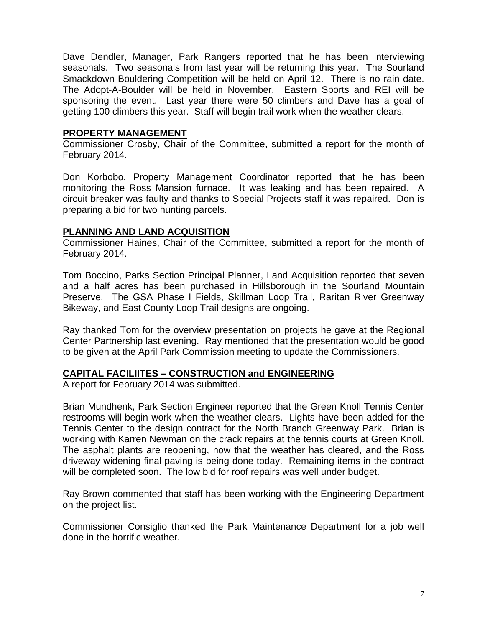Dave Dendler, Manager, Park Rangers reported that he has been interviewing seasonals. Two seasonals from last year will be returning this year. The Sourland Smackdown Bouldering Competition will be held on April 12. There is no rain date. The Adopt-A-Boulder will be held in November. Eastern Sports and REI will be sponsoring the event. Last year there were 50 climbers and Dave has a goal of getting 100 climbers this year. Staff will begin trail work when the weather clears.

#### **PROPERTY MANAGEMENT**

Commissioner Crosby, Chair of the Committee, submitted a report for the month of February 2014.

Don Korbobo, Property Management Coordinator reported that he has been monitoring the Ross Mansion furnace. It was leaking and has been repaired. A circuit breaker was faulty and thanks to Special Projects staff it was repaired. Don is preparing a bid for two hunting parcels.

### **PLANNING AND LAND ACQUISITION**

Commissioner Haines, Chair of the Committee, submitted a report for the month of February 2014.

Tom Boccino, Parks Section Principal Planner, Land Acquisition reported that seven and a half acres has been purchased in Hillsborough in the Sourland Mountain Preserve. The GSA Phase I Fields, Skillman Loop Trail, Raritan River Greenway Bikeway, and East County Loop Trail designs are ongoing.

Ray thanked Tom for the overview presentation on projects he gave at the Regional Center Partnership last evening. Ray mentioned that the presentation would be good to be given at the April Park Commission meeting to update the Commissioners.

### **CAPITAL FACILIITES – CONSTRUCTION and ENGINEERING**

A report for February 2014 was submitted.

Brian Mundhenk, Park Section Engineer reported that the Green Knoll Tennis Center restrooms will begin work when the weather clears. Lights have been added for the Tennis Center to the design contract for the North Branch Greenway Park. Brian is working with Karren Newman on the crack repairs at the tennis courts at Green Knoll. The asphalt plants are reopening, now that the weather has cleared, and the Ross driveway widening final paving is being done today. Remaining items in the contract will be completed soon. The low bid for roof repairs was well under budget.

Ray Brown commented that staff has been working with the Engineering Department on the project list.

Commissioner Consiglio thanked the Park Maintenance Department for a job well done in the horrific weather.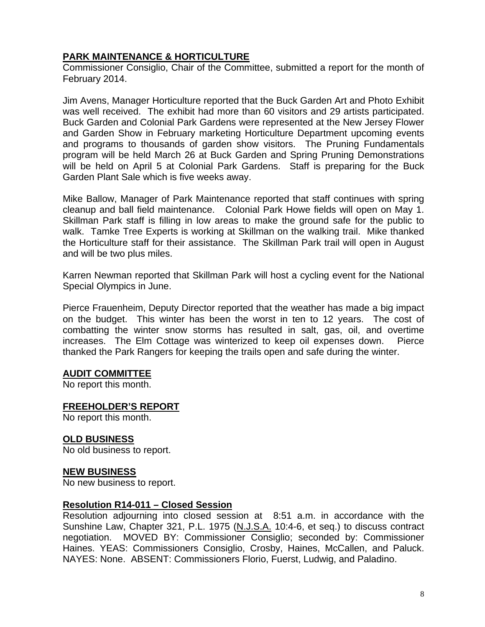## **PARK MAINTENANCE & HORTICULTURE**

Commissioner Consiglio, Chair of the Committee, submitted a report for the month of February 2014.

Jim Avens, Manager Horticulture reported that the Buck Garden Art and Photo Exhibit was well received. The exhibit had more than 60 visitors and 29 artists participated. Buck Garden and Colonial Park Gardens were represented at the New Jersey Flower and Garden Show in February marketing Horticulture Department upcoming events and programs to thousands of garden show visitors. The Pruning Fundamentals program will be held March 26 at Buck Garden and Spring Pruning Demonstrations will be held on April 5 at Colonial Park Gardens. Staff is preparing for the Buck Garden Plant Sale which is five weeks away.

Mike Ballow, Manager of Park Maintenance reported that staff continues with spring cleanup and ball field maintenance. Colonial Park Howe fields will open on May 1. Skillman Park staff is filling in low areas to make the ground safe for the public to walk. Tamke Tree Experts is working at Skillman on the walking trail. Mike thanked the Horticulture staff for their assistance. The Skillman Park trail will open in August and will be two plus miles.

Karren Newman reported that Skillman Park will host a cycling event for the National Special Olympics in June.

Pierce Frauenheim, Deputy Director reported that the weather has made a big impact on the budget. This winter has been the worst in ten to 12 years. The cost of combatting the winter snow storms has resulted in salt, gas, oil, and overtime increases. The Elm Cottage was winterized to keep oil expenses down. Pierce thanked the Park Rangers for keeping the trails open and safe during the winter.

### **AUDIT COMMITTEE**

No report this month.

### **FREEHOLDER'S REPORT**

No report this month.

### **OLD BUSINESS**

No old business to report.

### **NEW BUSINESS**

No new business to report.

#### **Resolution R14-011 – Closed Session**

Resolution adjourning into closed session at 8:51 a.m. in accordance with the Sunshine Law, Chapter 321, P.L. 1975 (N.J.S.A. 10:4-6, et seq.) to discuss contract negotiation. MOVED BY: Commissioner Consiglio; seconded by: Commissioner Haines. YEAS: Commissioners Consiglio, Crosby, Haines, McCallen, and Paluck. NAYES: None. ABSENT: Commissioners Florio, Fuerst, Ludwig, and Paladino.